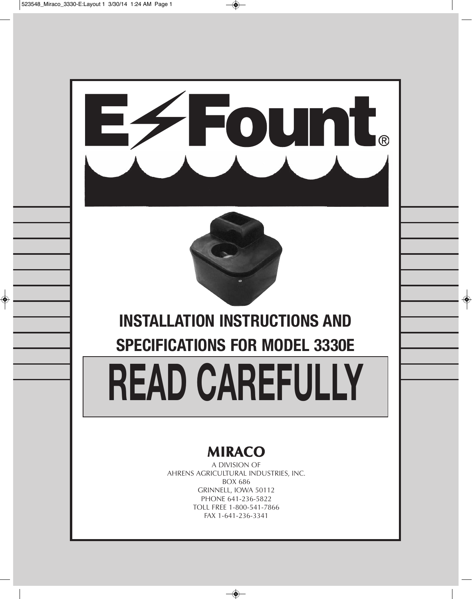

PHONE 641-236-5822 TOLL FREE 1-800-541-7866 FAX 1-641-236-3341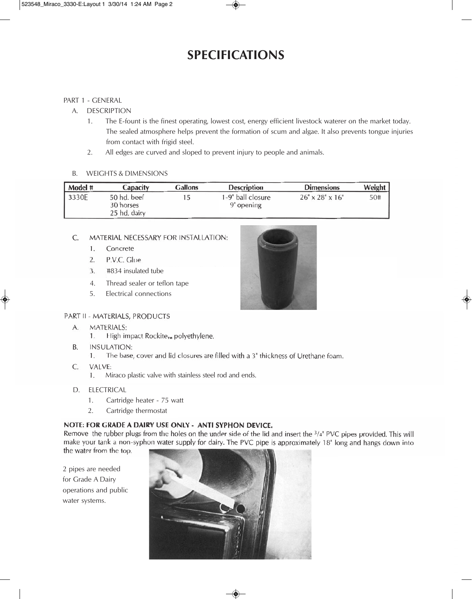## **SPECIFICATIONS**

#### PART 1 - GENERAL

#### A. DESCRIPTION

- 1. The E-fount is the finest operating, lowest cost, energy efficient livestock waterer on the market today. The sealed atmosphere helps prevent the formation of scum and algae. It also prevents tongue injuries from contact with frigid steel.
- 2. All edges are curved and sloped to prevent injury to people and animals.

#### B. WEIGHTS & DIMENSIONS

| Model # | <b>Capacity</b>                          | <b>Gallons</b> | <b>Description</b>              | <b>Dimensions</b>           | Weight |
|---------|------------------------------------------|----------------|---------------------------------|-----------------------------|--------|
| 3330E   | 50 hd. beef<br>30 horses<br>25 hd. dairy | 15             | 1-9" ball closure<br>9" opening | $26" \times 28" \times 16"$ | 50#    |

#### MATERIAL NECESSARY FOR INSTALLATION:  $C_{\cdot}$

- 1. Concrete
- P.V.C. Glue  $2.$
- 3. #834 insulated tube
- 4. Thread sealer or teflon tape
- 5. Electrical connections



#### PART II - MATERIALS, PRODUCTS

- **MATERIALS:** A.
	- High impact Rockite<sub>TM</sub> polyethylene. 1.
- **INSULATION: B.** 
	- $\mathbf{1}$ . The base, cover and lid closures are filled with a 3" thickness of Urethane foam.
- $\mathsf{C}$ . VALVE:
	- 1. Miraco plastic valve with stainless steel rod and ends.
- D. ELECTRICAL
	- 1. Cartridge heater 75 watt
	- 2. Cartridge thermostat

#### NOTE: FOR GRADE A DAIRY USE ONLY - ANTI SYPHON DEVICE.

Remove the rubber plugs from the holes on the under side of the lid and insert the  $3/4$ " PVC pipes provided. This will make your tank a non-syphon water supply for dairy. The PVC pipe is approximately 18" long and hangs down into the water from the top.

2 pipes are needed for Grade A Dairy operations and public water systems.

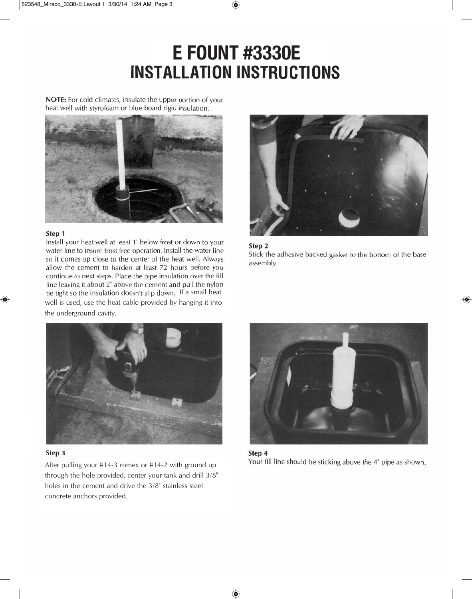# **E FOUNT #3330E**<br>INSTALLATION INSTRUCTIONS

NOTE: For cold climates, insulate the upper portion of your heat well with styrofoam or blue board rigid insulation.



#### Step 1

Install your heat well at least 1' below frost or down to your water line to insure frost free operation. Install the water line so it comes up close to the center of the heat well. Always allow the cement to harden at least 72 hours before you continue to next steps. Place the pipe insulation over the fill line leaving it about 2" above the cement and pull the nylon tie tight so the insulation doesn't slip down. If a small heat well is used, use the heat cable provided by hanging it into the underground cavity.







#### Step 3

After pulling your #14-3 romex or #14-2 with ground up through the hole provided, center your tank and drill 3/8" holes in the cement and drive the 3/8" stainless steel concrete anchors provided.



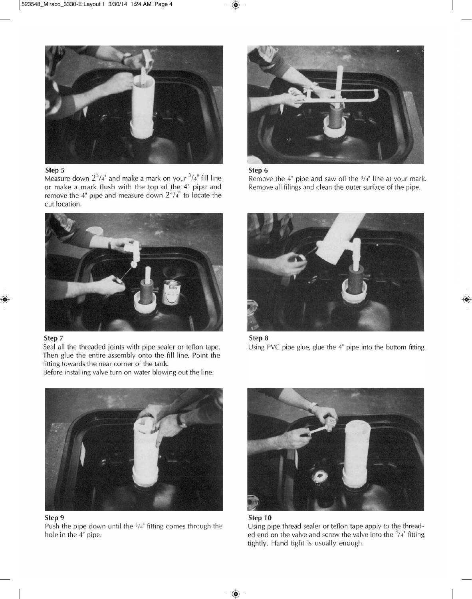

#### Step 5

Measure down  $2^3/4$ <sup>"</sup> and make a mark on your  $^3/4$ <sup>"</sup> fill line or make a mark flush with the top of the 4" pipe and remove the 4" pipe and measure down  $2^3/4$ " to locate the cut location.



#### Step 7

Seal all the threaded joints with pipe sealer or teflon tape. Then glue the entire assembly onto the fill line. Point the fitting towards the near corner of the tank.

Before installing valve turn on water blowing out the line.





Remove the  $4"$  pipe and saw off the  $3/4"$  line at your mark. Remove all filings and clean the outer surface of the pipe.







Step 9 Push the pipe down until the  $3/4$ " fitting comes through the hole in the 4" pipe.





Using pipe thread sealer or teflon tape apply to the threaded end on the valve and screw the valve into the  $3/4$ <sup>"</sup> fitting tightly. Hand tight is usually enough.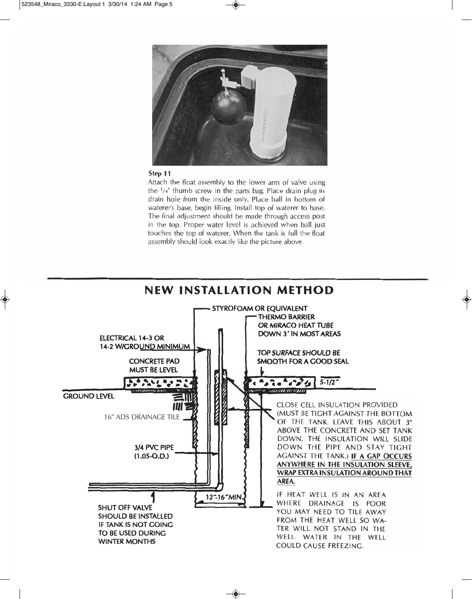

#### Step 11

Attach the float assembly to the lower arm of valve using the <sup>1</sup>/4" thumb screw in the parts bag. Place drain plug in drain hole from the inside only. Place ball in bottom of waterer's base, begin filling. Install top of waterer to base. The final adjustment should be made through access post in the top. Proper water level is achieved when ball just touches the top of waterer. When the tank is full the float assembly should look exactly like the picture above.

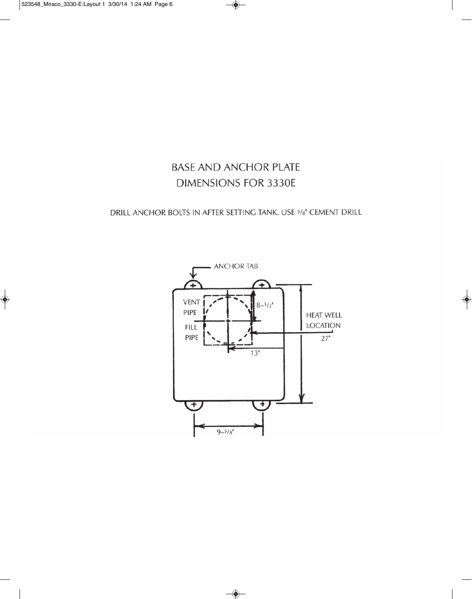### **BASE AND ANCHOR PLATE DIMENSIONS FOR 3330E**

DRILL ANCHOR BOLTS IN AFTER SETTING TANK. USE 3/8" CEMENT DRILL

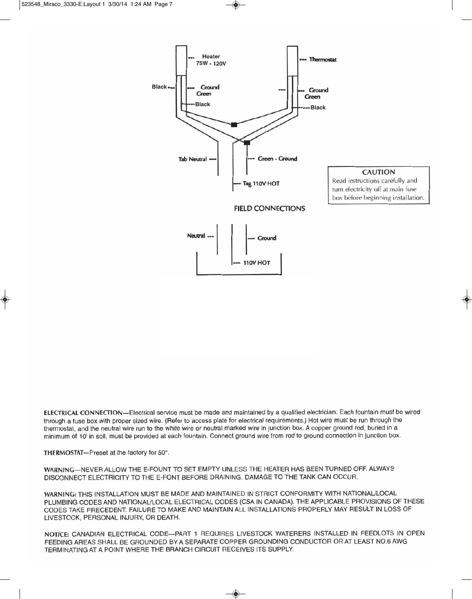

ELECTRICAL CONNECTION-Electrical service must be made and maintained by a qualified electrician. Each fountain must be wired through a fuse box with proper sized wire. (Refer to access plate for electrical requirements.) Hot wire must be run through the thermostat, and the neutral wire run to the white wire or neutral marked wire in junction box. A copper ground rod, buried in a minimum of 10' in soil, must be provided at each fountain. Connect ground wire from rod to ground connection in junction box.

THERMOSTAT-Preset at the factory for 50°.

WARNING-NEVER ALLOW THE E-FOUNT TO SET EMPTY UNLESS THE HEATER HAS BEEN TURNED OFF. ALWAYS DISCONNECT ELECTRICITY TO THE E-FONT BEFORE DRAINING. DAMAGE TO THE TANK CAN OCCUR.

WARNING: THIS INSTALLATION MUST BE MADE AND MAINTAINED IN STRICT CONFORMITY WITH NATIONAL/LOCAL PLUMBING CODES AND NATIONAL/LOCAL ELECTRICAL CODES (CSA IN CANADA). THE APPLICABLE PROVISIONS OF THESE CODES TAKE PRECEDENT. FAILURE TO MAKE AND MAINTAIN ALL INSTALLATIONS PROPERLY MAY RESULT IN LOSS OF LIVESTOCK, PERSONAL INJURY, OR DEATH.

NOTICE: CANADIAN ELECTRICAL CODE-PART 1 REQUIRES LIVESTOCK WATERERS INSTALLED IN FEEDLOTS IN OPEN FEEDING AREAS SHALL BE GROUNDED BY A SEPARATE COPPER GROUNDING CONDUCTOR OR AT LEAST NO.6 AWG TERMINATING AT A POINT WHERE THE BRANCH CIRCUIT RECEIVES ITS SUPPLY.